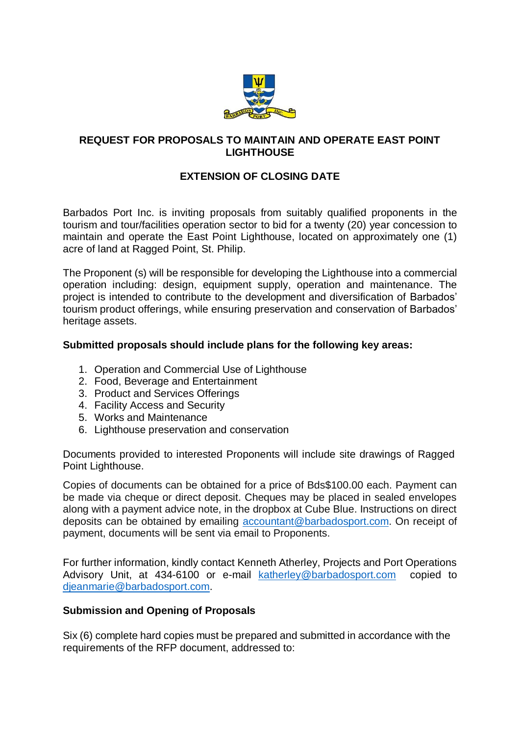

## **REQUEST FOR PROPOSALS TO MAINTAIN AND OPERATE EAST POINT LIGHTHOUSE**

# **EXTENSION OF CLOSING DATE**

Barbados Port Inc. is inviting proposals from suitably qualified proponents in the tourism and tour/facilities operation sector to bid for a twenty (20) year concession to maintain and operate the East Point Lighthouse, located on approximately one (1) acre of land at Ragged Point, St. Philip.

The Proponent (s) will be responsible for developing the Lighthouse into a commercial operation including: design, equipment supply, operation and maintenance. The project is intended to contribute to the development and diversification of Barbados' tourism product offerings, while ensuring preservation and conservation of Barbados' heritage assets.

### **Submitted proposals should include plans for the following key areas:**

- 1. Operation and Commercial Use of Lighthouse
- 2. Food, Beverage and Entertainment
- 3. Product and Services Offerings
- 4. Facility Access and Security
- 5. Works and Maintenance
- 6. Lighthouse preservation and conservation

Documents provided to interested Proponents will include site drawings of Ragged Point Lighthouse.

Copies of documents can be obtained for a price of Bds\$100.00 each. Payment can be made via cheque or direct deposit. Cheques may be placed in sealed envelopes along with a payment advice note, in the dropbox at Cube Blue. Instructions on direct deposits can be obtained by emailing [accountant@barbadosport.com.](mailto:accountant@barbadosport.com) On receipt of payment, documents will be sent via email to Proponents.

For further information, kindly contact Kenneth Atherley, Projects and Port Operations Advisory Unit, at 434-6100 or e-mail [katherley@barbadosport.com](mailto:katherley@barbadosport.com) copied to [djeanmarie@barbadosport.com.](mailto:djeanmarie@barbadosport.com)

### **Submission and Opening of Proposals**

Six (6) complete hard copies must be prepared and submitted in accordance with the requirements of the RFP document, addressed to: